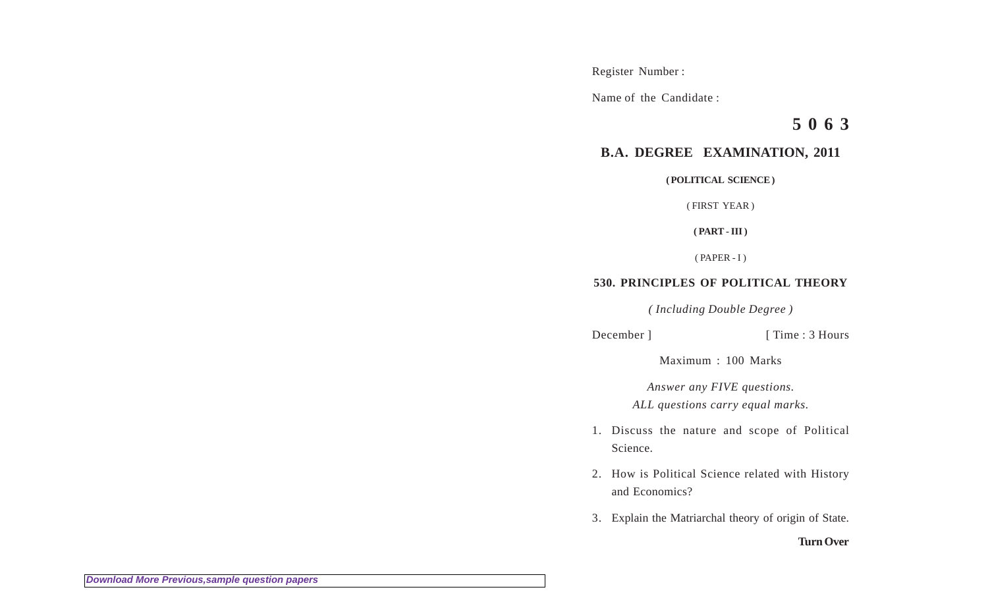Register Number :

Name of the Candidate :

**5 0 6 3**

# **B.A. DEGREE EXAMINATION, 2011**

**( POLITICAL SCIENCE )**

( FIRST YEAR )

**( PART - III )**

 $(PAPER - I)$ 

## **530. PRINCIPLES OF POLITICAL THEORY**

*( Including Double Degree )*

December ] [ Time : 3 Hours

Maximum : 100 Marks

*Answer any FIVE questions.*

*ALL questions carry equal marks.*

- 1. Discuss the nature and scope of Political Science.
- 2. How is Political Science related with History and Economics?
- 3. Explain the Matriarchal theory of origin of State.

**Turn Over**